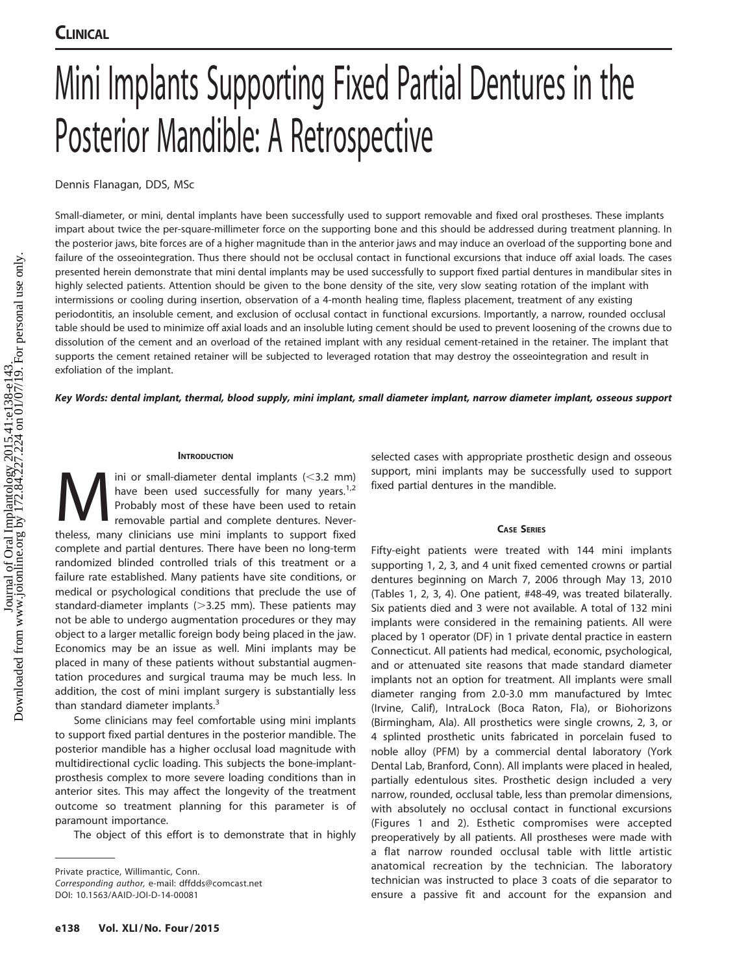# Mini Implants Supporting Fixed Partial Dentures in the Posterior Mandible: A Retrospective

Dennis Flanagan, DDS, MSc

Small-diameter, or mini, dental implants have been successfully used to support removable and fixed oral prostheses. These implants impart about twice the per-square-millimeter force on the supporting bone and this should be addressed during treatment planning. In the posterior jaws, bite forces are of a higher magnitude than in the anterior jaws and may induce an overload of the supporting bone and failure of the osseointegration. Thus there should not be occlusal contact in functional excursions that induce off axial loads. The cases presented herein demonstrate that mini dental implants may be used successfully to support fixed partial dentures in mandibular sites in highly selected patients. Attention should be given to the bone density of the site, very slow seating rotation of the implant with intermissions or cooling during insertion, observation of a 4-month healing time, flapless placement, treatment of any existing periodontitis, an insoluble cement, and exclusion of occlusal contact in functional excursions. Importantly, a narrow, rounded occlusal table should be used to minimize off axial loads and an insoluble luting cement should be used to prevent loosening of the crowns due to dissolution of the cement and an overload of the retained implant with any residual cement-retained in the retainer. The implant that supports the cement retained retainer will be subjected to leveraged rotation that may destroy the osseointegration and result in exfoliation of the implant.

Key Words: dental implant, thermal, blood supply, mini implant, small diameter implant, narrow diameter implant, osseous support

# **INTRODUCTION**

 $\sum_{\text{have been used successfully for many years.}}$  have been used successfully for many years.<sup>1,2</sup><br>Probably most of these have been used to retain<br>removable partial and complete dentures. Never-<br>theless, many clinicians use mini implants to support fixe have been used successfully for many years.<sup>1,2</sup> Probably most of these have been used to retain removable partial and complete dentures. Nevertheless, many clinicians use mini implants to support fixed complete and partial dentures. There have been no long-term randomized blinded controlled trials of this treatment or a failure rate established. Many patients have site conditions, or medical or psychological conditions that preclude the use of standard-diameter implants  $(>3.25$  mm). These patients may not be able to undergo augmentation procedures or they may object to a larger metallic foreign body being placed in the jaw. Economics may be an issue as well. Mini implants may be placed in many of these patients without substantial augmentation procedures and surgical trauma may be much less. In addition, the cost of mini implant surgery is substantially less than standard diameter implants.<sup>3</sup>

Some clinicians may feel comfortable using mini implants to support fixed partial dentures in the posterior mandible. The posterior mandible has a higher occlusal load magnitude with multidirectional cyclic loading. This subjects the bone-implantprosthesis complex to more severe loading conditions than in anterior sites. This may affect the longevity of the treatment outcome so treatment planning for this parameter is of paramount importance.

The object of this effort is to demonstrate that in highly

DOI: 10.1563/AAID-JOI-D-14-00081

selected cases with appropriate prosthetic design and osseous support, mini implants may be successfully used to support fixed partial dentures in the mandible.

# CASE SERIES

Fifty-eight patients were treated with 144 mini implants supporting 1, 2, 3, and 4 unit fixed cemented crowns or partial dentures beginning on March 7, 2006 through May 13, 2010 (Tables 1, 2, 3, 4). One patient, #48-49, was treated bilaterally. Six patients died and 3 were not available. A total of 132 mini implants were considered in the remaining patients. All were placed by 1 operator (DF) in 1 private dental practice in eastern Connecticut. All patients had medical, economic, psychological, and or attenuated site reasons that made standard diameter implants not an option for treatment. All implants were small diameter ranging from 2.0-3.0 mm manufactured by Imtec (Irvine, Calif), IntraLock (Boca Raton, Fla), or Biohorizons (Birmingham, Ala). All prosthetics were single crowns, 2, 3, or 4 splinted prosthetic units fabricated in porcelain fused to noble alloy (PFM) by a commercial dental laboratory (York Dental Lab, Branford, Conn). All implants were placed in healed, partially edentulous sites. Prosthetic design included a very narrow, rounded, occlusal table, less than premolar dimensions, with absolutely no occlusal contact in functional excursions (Figures 1 and 2). Esthetic compromises were accepted preoperatively by all patients. All prostheses were made with a flat narrow rounded occlusal table with little artistic anatomical recreation by the technician. The laboratory technician was instructed to place 3 coats of die separator to ensure a passive fit and account for the expansion and

Private practice, Willimantic, Conn. Corresponding author, e-mail: dffdds@comcast.net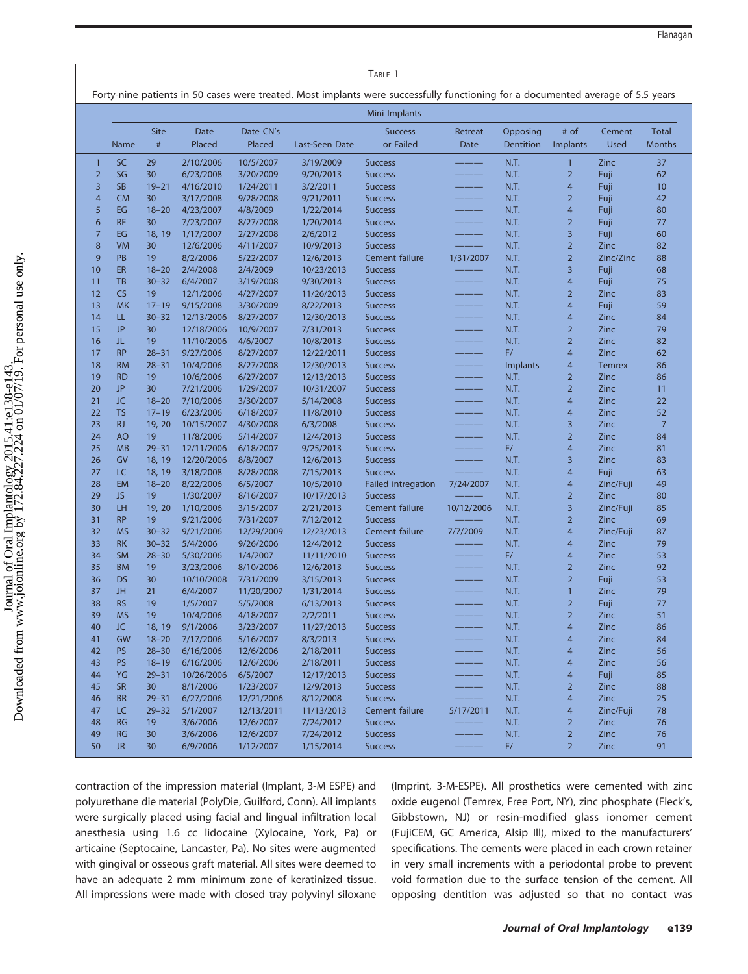| пı | រล |  | ١ |
|----|----|--|---|
|    |    |  |   |

|                                                                                                                                 | TABLE 1                |                        |                              |                        |                         |                                  |                 |                       |                                |                       |                               |
|---------------------------------------------------------------------------------------------------------------------------------|------------------------|------------------------|------------------------------|------------------------|-------------------------|----------------------------------|-----------------|-----------------------|--------------------------------|-----------------------|-------------------------------|
| Forty-nine patients in 50 cases were treated. Most implants were successfully functioning for a documented average of 5.5 years |                        |                        |                              |                        |                         |                                  |                 |                       |                                |                       |                               |
|                                                                                                                                 |                        |                        |                              |                        |                         | Mini Implants                    |                 |                       |                                |                       |                               |
|                                                                                                                                 | Name                   | <b>Site</b><br>$\#$    | Date<br>Placed               | Date CN's<br>Placed    | Last-Seen Date          | <b>Success</b><br>or Failed      | Retreat<br>Date | Opposing<br>Dentition | # of<br>Implants               | Cement<br><b>Used</b> | <b>Total</b><br><b>Months</b> |
| $\mathbf{1}$                                                                                                                    | <b>SC</b>              | 29                     | 2/10/2006                    | 10/5/2007              | 3/19/2009               | <b>Success</b>                   |                 | N.T.                  | $\mathbf{1}$                   | Zinc                  | 37                            |
| $\overline{2}$                                                                                                                  | SG                     | 30                     | 6/23/2008                    | 3/20/2009              | 9/20/2013               | <b>Success</b>                   |                 | N.T.                  | $\overline{2}$                 | Fuji                  | 62                            |
| 3                                                                                                                               | <b>SB</b>              | $19 - 21$              | 4/16/2010                    | 1/24/2011              | 3/2/2011                | <b>Success</b>                   |                 | N.T.                  | $\overline{4}$                 | Fuji                  | 10                            |
| $\overline{4}$                                                                                                                  | <b>CM</b>              | 30                     | 3/17/2008                    | 9/28/2008              | 9/21/2011               | <b>Success</b>                   |                 | N.T.                  | $\overline{2}$                 | Fuji                  | 42                            |
| 5                                                                                                                               | EG                     | $18 - 20$              | 4/23/2007                    | 4/8/2009               | 1/22/2014               | <b>Success</b>                   |                 | N.T.                  | $\overline{4}$                 | Fuji                  | 80                            |
| 6                                                                                                                               | <b>RF</b>              | 30                     | 7/23/2007                    | 8/27/2008              | 1/20/2014               | <b>Success</b>                   |                 | N.T.                  | $\overline{2}$                 | Fuji                  | 77                            |
| $\overline{7}$                                                                                                                  | EG                     | 18, 19                 | 1/17/2007                    | 2/27/2008              | 2/6/2012                | <b>Success</b>                   |                 | N.T.                  | 3                              | Fuji                  | 60                            |
| $\boldsymbol{8}$                                                                                                                | <b>VM</b>              | 30                     | 12/6/2006                    | 4/11/2007              | 10/9/2013               | <b>Success</b>                   |                 | N.T.                  | $\overline{2}$                 | Zinc                  | 82                            |
| 9                                                                                                                               | PB                     | 19                     | 8/2/2006                     | 5/22/2007              | 12/6/2013               | Cement failure                   | 1/31/2007       | N.T.                  | $\overline{2}$                 | Zinc/Zinc             | 88                            |
| 10                                                                                                                              | ER                     | $18 - 20$              | 2/4/2008                     | 2/4/2009               | 10/23/2013              | <b>Success</b>                   |                 | N.T.                  | 3                              | Fuji                  | 68                            |
| 11                                                                                                                              | TB                     | $30 - 32$              | 6/4/2007                     | 3/19/2008              | 9/30/2013               | <b>Success</b>                   |                 | N.T.                  | $\overline{4}$                 | Fuji                  | 75                            |
| 12                                                                                                                              | CS                     | 19                     | 12/1/2006                    | 4/27/2007              | 11/26/2013              | <b>Success</b>                   |                 | N.T.                  | $\overline{2}$                 | Zinc                  | 83                            |
| 13                                                                                                                              | <b>MK</b>              | $17 - 19$              | 9/15/2008                    | 3/30/2009              | 8/22/2013               | <b>Success</b>                   |                 | N.T.                  | $\overline{4}$                 | Fuji                  | 59                            |
| 14                                                                                                                              | LL                     | $30 - 32$              | 12/13/2006                   | 8/27/2007              | 12/30/2013              | <b>Success</b>                   |                 | N.T.                  | $\overline{4}$                 | Zinc                  | 84                            |
| 15                                                                                                                              | <b>JP</b>              | 30                     | 12/18/2006                   | 10/9/2007              | 7/31/2013               | <b>Success</b>                   |                 | N.T.                  | $\overline{2}$                 | Zinc                  | 79                            |
| 16                                                                                                                              | JL.                    | 19                     | 11/10/2006                   | 4/6/2007               | 10/8/2013               | <b>Success</b>                   |                 | N.T.                  | $\overline{2}$                 | Zinc                  | 82                            |
| 17                                                                                                                              | <b>RP</b>              | $28 - 31$              | 9/27/2006                    | 8/27/2007              | 12/22/2011              | <b>Success</b>                   |                 | F/                    | $\overline{4}$                 | Zinc                  | 62                            |
| 18                                                                                                                              | <b>RM</b>              | $28 - 31$              | 10/4/2006                    | 8/27/2008              | 12/30/2013              | <b>Success</b>                   |                 | <b>Implants</b>       | $\overline{4}$                 | <b>Temrex</b>         | 86                            |
| 19                                                                                                                              | <b>RD</b>              | 19                     | 10/6/2006                    | 6/27/2007              | 12/13/2013              | <b>Success</b>                   |                 | N.T.                  | $\overline{2}$                 | Zinc                  | 86                            |
| 20                                                                                                                              | <b>JP</b>              | 30                     | 7/21/2006                    | 1/29/2007              | 10/31/2007              | <b>Success</b>                   |                 | N.T.                  | $\overline{2}$                 | Zinc                  | 11                            |
| 21                                                                                                                              | <b>JC</b>              | $18 - 20$              | 7/10/2006                    | 3/30/2007              | 5/14/2008               | <b>Success</b>                   |                 | N.T.                  | $\overline{4}$                 | Zinc                  | 22                            |
| 22                                                                                                                              | <b>TS</b>              | $17 - 19$              | 6/23/2006                    | 6/18/2007              | 11/8/2010               | <b>Success</b>                   |                 | N.T.                  | $\overline{4}$                 | Zinc                  | 52                            |
| 23                                                                                                                              | RJ                     | 19, 20                 | 10/15/2007                   | 4/30/2008              | 6/3/2008                | <b>Success</b>                   |                 | N.T.                  | 3                              | Zinc                  | $\overline{7}$                |
| 24                                                                                                                              | <b>AO</b>              | 19                     | 11/8/2006                    | 5/14/2007              | 12/4/2013               | <b>Success</b>                   |                 | N.T.                  | $\overline{2}$                 | Zinc                  | 84                            |
| 25                                                                                                                              | <b>MB</b>              | $29 - 31$              | 12/11/2006                   | 6/18/2007              | 9/25/2013               | <b>Success</b>                   |                 | F/                    | $\overline{4}$                 | Zinc                  | 81                            |
| 26                                                                                                                              | GV                     | 18, 19                 | 12/20/2006                   | 8/8/2007               | 12/6/2013               | <b>Success</b>                   |                 | N.T.                  | 3                              | Zinc                  | 83                            |
| 27                                                                                                                              | LC                     | 18, 19                 | 3/18/2008                    | 8/28/2008              | 7/15/2013               | <b>Success</b>                   |                 | N.T.                  | $\overline{4}$                 | Fuji                  | 63                            |
| 28                                                                                                                              | <b>EM</b>              | $18 - 20$              | 8/22/2006                    | 6/5/2007               | 10/5/2010               | <b>Failed intregation</b>        | 7/24/2007       | N.T.                  | $\overline{4}$                 | Zinc/Fuji             | 49                            |
| 29                                                                                                                              | JS.                    | 19                     | 1/30/2007                    | 8/16/2007              | 10/17/2013              | <b>Success</b>                   |                 | N.T.                  | $\overline{2}$                 | Zinc                  | 80                            |
| 30                                                                                                                              | LH                     | 19, 20                 | 1/10/2006                    | 3/15/2007              | 2/21/2013               | Cement failure                   | 10/12/2006      | N.T.                  | $\overline{3}$                 | Zinc/Fuji             | 85                            |
| 31                                                                                                                              | <b>RP</b>              | 19                     | 9/21/2006                    | 7/31/2007              | 7/12/2012               | <b>Success</b>                   |                 | N.T.                  | $\overline{2}$                 | Zinc                  | 69                            |
| 32                                                                                                                              | <b>MS</b>              | $30 - 32$              | 9/21/2006                    | 12/29/2009             | 12/23/2013              | Cement failure                   | 7/7/2009        | N.T.                  | $\overline{4}$                 | Zinc/Fuji             | 87                            |
| 33                                                                                                                              | <b>RK</b>              | $30 - 32$              | 5/4/2006                     | 9/26/2006              | 12/4/2012               | <b>Success</b>                   |                 | N.T.                  | $\overline{4}$                 | Zinc                  | 79                            |
| 34                                                                                                                              | <b>SM</b>              | $28 - 30$              | 5/30/2006                    | 1/4/2007               | 11/11/2010              | <b>Success</b>                   |                 | F/                    | $\overline{4}$                 | Zinc                  | 53                            |
| 35                                                                                                                              | <b>BM</b>              | 19                     | 3/23/2006                    | 8/10/2006              | 12/6/2013               | <b>Success</b>                   |                 | N.T.                  | $\overline{2}$                 | Zinc                  | 92                            |
| 36<br>37                                                                                                                        | <b>DS</b><br><b>JH</b> | 30                     | 10/10/2008<br>6/4/2007       | 7/31/2009              | 3/15/2013               | <b>Success</b>                   |                 | N.T.                  | $\overline{2}$                 | Fuji                  | 53                            |
|                                                                                                                                 | <b>RS</b>              | 21<br>19               |                              | 11/20/2007             | 1/31/2014               | <b>Success</b>                   |                 | N.T.                  | $\mathbf{1}$<br>$\overline{2}$ | Zinc                  | 79                            |
| 38<br>39                                                                                                                        | <b>MS</b>              | 19                     | 1/5/2007                     | 5/5/2008<br>4/18/2007  | 6/13/2013<br>2/2/2011   | <b>Success</b>                   |                 | N.T.<br>N.T.          | $\overline{2}$                 | Fuji<br>Zinc          | 77<br>51                      |
| 40                                                                                                                              | JC.                    |                        | 10/4/2006<br>18, 19 9/1/2006 |                        | 11/27/2013              | <b>Success</b>                   |                 | N.T.                  | $\overline{\mathbf{4}}$        | Zinc                  | 86                            |
|                                                                                                                                 |                        |                        | 7/17/2006                    | 3/23/2007              |                         | Success                          |                 | N.T.                  |                                |                       |                               |
| 41<br>42                                                                                                                        | GW<br><b>PS</b>        | $18 - 20$<br>$28 - 30$ |                              | 5/16/2007              | 8/3/2013                | <b>Success</b>                   |                 | N.T.                  | 4<br>$\overline{4}$            | Zinc<br>Zinc          | 84<br>56                      |
|                                                                                                                                 | <b>PS</b>              | $18 - 19$              | 6/16/2006                    | 12/6/2006<br>12/6/2006 | 2/18/2011               | <b>Success</b>                   |                 | N.T.                  |                                | Zinc                  | 56                            |
| 43                                                                                                                              |                        |                        | 6/16/2006                    |                        | 2/18/2011               | <b>Success</b>                   |                 |                       | 4                              |                       |                               |
| 44<br>45                                                                                                                        | YG<br><b>SR</b>        | $29 - 31$<br>30        | 10/26/2006<br>8/1/2006       | 6/5/2007<br>1/23/2007  | 12/17/2013<br>12/9/2013 | <b>Success</b><br><b>Success</b> |                 | N.T.<br>N.T.          | 4<br>$\overline{2}$            | Fuji<br>Zinc          | 85<br>88                      |
| 46                                                                                                                              | <b>BR</b>              | $29 - 31$              | 6/27/2006                    | 12/21/2006             | 8/12/2008               | <b>Success</b>                   |                 | N.T.                  | $\overline{4}$                 | Zinc                  | 25                            |
| 47                                                                                                                              | LC                     | $29 - 32$              | 5/1/2007                     | 12/13/2011             | 11/13/2013              | Cement failure                   | 5/17/2011       | N.T.                  | 4                              | Zinc/Fuji             | 78                            |
| 48                                                                                                                              | <b>RG</b>              | 19                     | 3/6/2006                     | 12/6/2007              | 7/24/2012               | <b>Success</b>                   |                 | N.T.                  | $\overline{2}$                 | Zinc                  | 76                            |
| 49                                                                                                                              | <b>RG</b>              | 30                     | 3/6/2006                     | 12/6/2007              | 7/24/2012               | <b>Success</b>                   |                 | N.T.                  | $\overline{2}$                 | Zinc                  | 76                            |
| 50                                                                                                                              | <b>JR</b>              | 30                     | 6/9/2006                     | 1/12/2007              | 1/15/2014               | <b>Success</b>                   |                 | F/                    | $\overline{2}$                 | Zinc                  | 91                            |
|                                                                                                                                 |                        |                        |                              |                        |                         |                                  |                 |                       |                                |                       |                               |

contraction of the impression material (Implant, 3-M ESPE) and polyurethane die material (PolyDie, Guilford, Conn). All implants were surgically placed using facial and lingual infiltration local anesthesia using 1.6 cc lidocaine (Xylocaine, York, Pa) or articaine (Septocaine, Lancaster, Pa). No sites were augmented with gingival or osseous graft material. All sites were deemed to have an adequate 2 mm minimum zone of keratinized tissue. All impressions were made with closed tray polyvinyl siloxane (Imprint, 3-M-ESPE). All prosthetics were cemented with zinc oxide eugenol (Temrex, Free Port, NY), zinc phosphate (Fleck's, Gibbstown, NJ) or resin-modified glass ionomer cement (FujiCEM, GC America, Alsip Ill), mixed to the manufacturers' specifications. The cements were placed in each crown retainer in very small increments with a periodontal probe to prevent void formation due to the surface tension of the cement. All opposing dentition was adjusted so that no contact was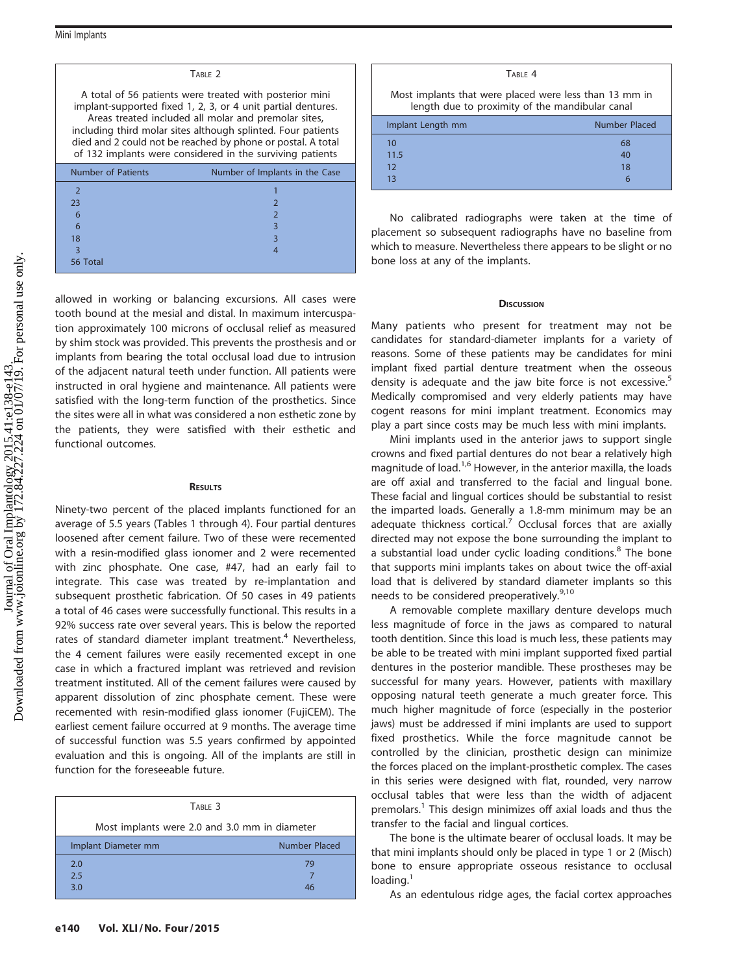| TABLE 2                                                                                                                                                                                                                                                                                                                                                                     |                                |  |  |  |  |
|-----------------------------------------------------------------------------------------------------------------------------------------------------------------------------------------------------------------------------------------------------------------------------------------------------------------------------------------------------------------------------|--------------------------------|--|--|--|--|
| A total of 56 patients were treated with posterior mini<br>implant-supported fixed 1, 2, 3, or 4 unit partial dentures.<br>Areas treated included all molar and premolar sites,<br>including third molar sites although splinted. Four patients<br>died and 2 could not be reached by phone or postal. A total<br>of 132 implants were considered in the surviving patients |                                |  |  |  |  |
| Number of Patients                                                                                                                                                                                                                                                                                                                                                          | Number of Implants in the Case |  |  |  |  |
| $\overline{2}$                                                                                                                                                                                                                                                                                                                                                              |                                |  |  |  |  |
| 23                                                                                                                                                                                                                                                                                                                                                                          | $\mathcal{P}$                  |  |  |  |  |
| 6                                                                                                                                                                                                                                                                                                                                                                           | $\mathcal{P}$                  |  |  |  |  |
| 6                                                                                                                                                                                                                                                                                                                                                                           | 3                              |  |  |  |  |
| 18                                                                                                                                                                                                                                                                                                                                                                          | 3                              |  |  |  |  |
| $\overline{\mathbf{3}}$                                                                                                                                                                                                                                                                                                                                                     | 4                              |  |  |  |  |
| 56 Total                                                                                                                                                                                                                                                                                                                                                                    |                                |  |  |  |  |

allowed in working or balancing excursions. All cases were tooth bound at the mesial and distal. In maximum intercuspation approximately 100 microns of occlusal relief as measured by shim stock was provided. This prevents the prosthesis and or implants from bearing the total occlusal load due to intrusion of the adjacent natural teeth under function. All patients were instructed in oral hygiene and maintenance. All patients were satisfied with the long-term function of the prosthetics. Since the sites were all in what was considered a non esthetic zone by the patients, they were satisfied with their esthetic and functional outcomes.

# **RESULTS**

Ninety-two percent of the placed implants functioned for an average of 5.5 years (Tables 1 through 4). Four partial dentures loosened after cement failure. Two of these were recemented with a resin-modified glass ionomer and 2 were recemented with zinc phosphate. One case, #47, had an early fail to integrate. This case was treated by re-implantation and subsequent prosthetic fabrication. Of 50 cases in 49 patients a total of 46 cases were successfully functional. This results in a 92% success rate over several years. This is below the reported rates of standard diameter implant treatment.<sup>4</sup> Nevertheless, the 4 cement failures were easily recemented except in one case in which a fractured implant was retrieved and revision treatment instituted. All of the cement failures were caused by apparent dissolution of zinc phosphate cement. These were recemented with resin-modified glass ionomer (FujiCEM). The earliest cement failure occurred at 9 months. The average time of successful function was 5.5 years confirmed by appointed evaluation and this is ongoing. All of the implants are still in function for the foreseeable future.

| TARLE <sub>3</sub>                            |               |  |  |  |
|-----------------------------------------------|---------------|--|--|--|
| Most implants were 2.0 and 3.0 mm in diameter |               |  |  |  |
| Implant Diameter mm                           | Number Placed |  |  |  |
| 2.0                                           | 79            |  |  |  |
| 2.5                                           |               |  |  |  |
| 3.0                                           | 46            |  |  |  |

| TARIF <sub>4</sub>                                                                                        |               |  |  |  |  |
|-----------------------------------------------------------------------------------------------------------|---------------|--|--|--|--|
| Most implants that were placed were less than 13 mm in<br>length due to proximity of the mandibular canal |               |  |  |  |  |
| Implant Length mm                                                                                         | Number Placed |  |  |  |  |
| 10                                                                                                        | 68            |  |  |  |  |
| 11.5                                                                                                      | 40            |  |  |  |  |
| 12                                                                                                        | 18            |  |  |  |  |

No calibrated radiographs were taken at the time of placement so subsequent radiographs have no baseline from which to measure. Nevertheless there appears to be slight or no bone loss at any of the implants.

 $13$  6

## **DISCUSSION**

Many patients who present for treatment may not be candidates for standard-diameter implants for a variety of reasons. Some of these patients may be candidates for mini implant fixed partial denture treatment when the osseous density is adequate and the jaw bite force is not excessive.<sup>5</sup> Medically compromised and very elderly patients may have cogent reasons for mini implant treatment. Economics may play a part since costs may be much less with mini implants.

Mini implants used in the anterior jaws to support single crowns and fixed partial dentures do not bear a relatively high magnitude of load.<sup>1,6</sup> However, in the anterior maxilla, the loads are off axial and transferred to the facial and lingual bone. These facial and lingual cortices should be substantial to resist the imparted loads. Generally a 1.8-mm minimum may be an adequate thickness cortical.<sup>7</sup> Occlusal forces that are axially directed may not expose the bone surrounding the implant to a substantial load under cyclic loading conditions.<sup>8</sup> The bone that supports mini implants takes on about twice the off-axial load that is delivered by standard diameter implants so this needs to be considered preoperatively.<sup>9,10</sup>

A removable complete maxillary denture develops much less magnitude of force in the jaws as compared to natural tooth dentition. Since this load is much less, these patients may be able to be treated with mini implant supported fixed partial dentures in the posterior mandible. These prostheses may be successful for many years. However, patients with maxillary opposing natural teeth generate a much greater force. This much higher magnitude of force (especially in the posterior jaws) must be addressed if mini implants are used to support fixed prosthetics. While the force magnitude cannot be controlled by the clinician, prosthetic design can minimize the forces placed on the implant-prosthetic complex. The cases in this series were designed with flat, rounded, very narrow occlusal tables that were less than the width of adjacent premolars.<sup>1</sup> This design minimizes off axial loads and thus the transfer to the facial and lingual cortices.

The bone is the ultimate bearer of occlusal loads. It may be that mini implants should only be placed in type 1 or 2 (Misch) bone to ensure appropriate osseous resistance to occlusal  $loading.<sup>1</sup>$ 

As an edentulous ridge ages, the facial cortex approaches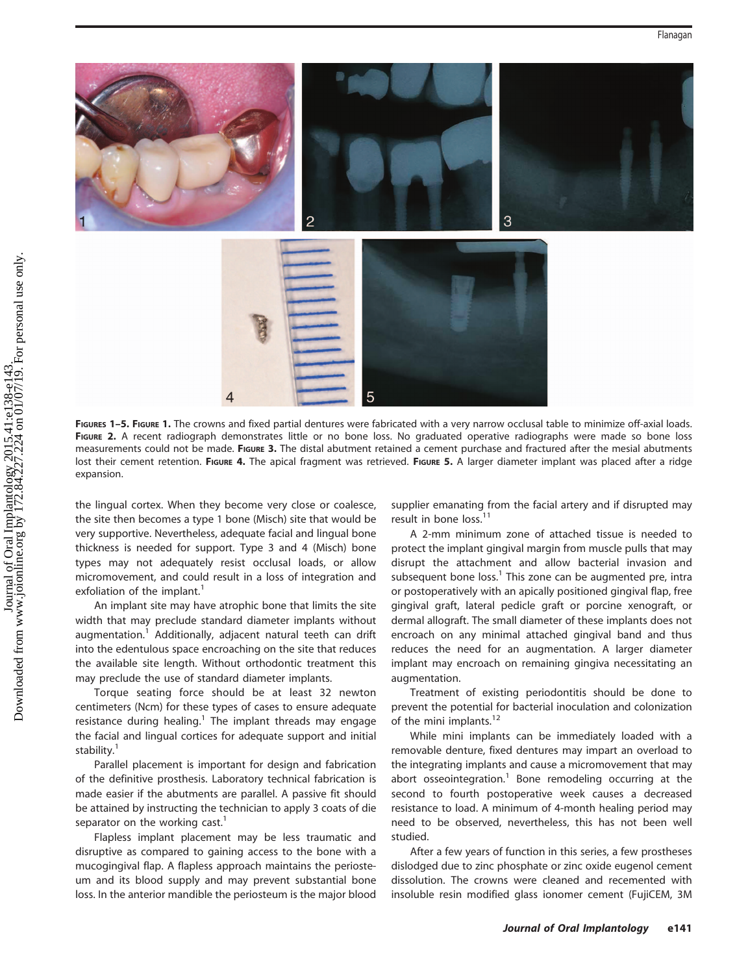

FIGURES 1-5. FIGURE 1. The crowns and fixed partial dentures were fabricated with a very narrow occlusal table to minimize off-axial loads. FIGURE 2. A recent radiograph demonstrates little or no bone loss. No graduated operative radiographs were made so bone loss measurements could not be made. FIGURE 3. The distal abutment retained a cement purchase and fractured after the mesial abutments lost their cement retention. FIGURE 4. The apical fragment was retrieved. FIGURE 5. A larger diameter implant was placed after a ridge expansion.

the lingual cortex. When they become very close or coalesce, the site then becomes a type 1 bone (Misch) site that would be very supportive. Nevertheless, adequate facial and lingual bone thickness is needed for support. Type 3 and 4 (Misch) bone types may not adequately resist occlusal loads, or allow micromovement, and could result in a loss of integration and exfoliation of the implant.<sup>1</sup>

An implant site may have atrophic bone that limits the site width that may preclude standard diameter implants without augmentation.<sup>1</sup> Additionally, adjacent natural teeth can drift into the edentulous space encroaching on the site that reduces the available site length. Without orthodontic treatment this may preclude the use of standard diameter implants.

Torque seating force should be at least 32 newton centimeters (Ncm) for these types of cases to ensure adequate resistance during healing.<sup>1</sup> The implant threads may engage the facial and lingual cortices for adequate support and initial stability.<sup>1</sup>

Parallel placement is important for design and fabrication of the definitive prosthesis. Laboratory technical fabrication is made easier if the abutments are parallel. A passive fit should be attained by instructing the technician to apply 3 coats of die separator on the working cast.<sup>1</sup>

Flapless implant placement may be less traumatic and disruptive as compared to gaining access to the bone with a mucogingival flap. A flapless approach maintains the periosteum and its blood supply and may prevent substantial bone loss. In the anterior mandible the periosteum is the major blood supplier emanating from the facial artery and if disrupted may result in bone loss.<sup>11</sup>

A 2-mm minimum zone of attached tissue is needed to protect the implant gingival margin from muscle pulls that may disrupt the attachment and allow bacterial invasion and subsequent bone loss.<sup>1</sup> This zone can be augmented pre, intra or postoperatively with an apically positioned gingival flap, free gingival graft, lateral pedicle graft or porcine xenograft, or dermal allograft. The small diameter of these implants does not encroach on any minimal attached gingival band and thus reduces the need for an augmentation. A larger diameter implant may encroach on remaining gingiva necessitating an augmentation.

Treatment of existing periodontitis should be done to prevent the potential for bacterial inoculation and colonization of the mini implants.<sup>12</sup>

While mini implants can be immediately loaded with a removable denture, fixed dentures may impart an overload to the integrating implants and cause a micromovement that may abort osseointegration.<sup>1</sup> Bone remodeling occurring at the second to fourth postoperative week causes a decreased resistance to load. A minimum of 4-month healing period may need to be observed, nevertheless, this has not been well studied.

After a few years of function in this series, a few prostheses dislodged due to zinc phosphate or zinc oxide eugenol cement dissolution. The crowns were cleaned and recemented with insoluble resin modified glass ionomer cement (FujiCEM, 3M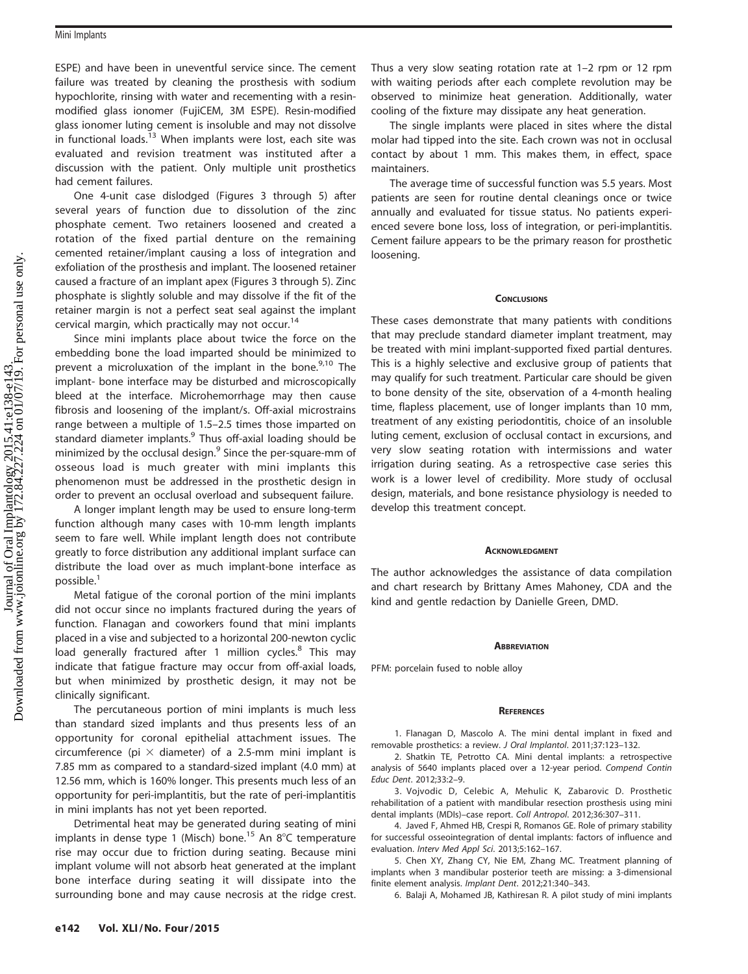ESPE) and have been in uneventful service since. The cement failure was treated by cleaning the prosthesis with sodium hypochlorite, rinsing with water and recementing with a resinmodified glass ionomer (FujiCEM, 3M ESPE). Resin-modified glass ionomer luting cement is insoluble and may not dissolve in functional loads. $13$  When implants were lost, each site was evaluated and revision treatment was instituted after a discussion with the patient. Only multiple unit prosthetics had cement failures.

One 4-unit case dislodged (Figures 3 through 5) after several years of function due to dissolution of the zinc phosphate cement. Two retainers loosened and created a rotation of the fixed partial denture on the remaining cemented retainer/implant causing a loss of integration and exfoliation of the prosthesis and implant. The loosened retainer caused a fracture of an implant apex (Figures 3 through 5). Zinc phosphate is slightly soluble and may dissolve if the fit of the retainer margin is not a perfect seat seal against the implant cervical margin, which practically may not occur.<sup>14</sup>

Since mini implants place about twice the force on the embedding bone the load imparted should be minimized to prevent a microluxation of the implant in the bone. $9,10$  The implant- bone interface may be disturbed and microscopically bleed at the interface. Microhemorrhage may then cause fibrosis and loosening of the implant/s. Off-axial microstrains range between a multiple of 1.5–2.5 times those imparted on standard diameter implants.<sup>9</sup> Thus off-axial loading should be minimized by the occlusal design. $9$  Since the per-square-mm of osseous load is much greater with mini implants this phenomenon must be addressed in the prosthetic design in order to prevent an occlusal overload and subsequent failure.

A longer implant length may be used to ensure long-term function although many cases with 10-mm length implants seem to fare well. While implant length does not contribute greatly to force distribution any additional implant surface can distribute the load over as much implant-bone interface as possible.<sup>1</sup>

Metal fatigue of the coronal portion of the mini implants did not occur since no implants fractured during the years of function. Flanagan and coworkers found that mini implants placed in a vise and subjected to a horizontal 200-newton cyclic load generally fractured after 1 million cycles.<sup>8</sup> This may indicate that fatigue fracture may occur from off-axial loads, but when minimized by prosthetic design, it may not be clinically significant.

The percutaneous portion of mini implants is much less than standard sized implants and thus presents less of an opportunity for coronal epithelial attachment issues. The circumference (pi  $\times$  diameter) of a 2.5-mm mini implant is 7.85 mm as compared to a standard-sized implant (4.0 mm) at 12.56 mm, which is 160% longer. This presents much less of an opportunity for peri-implantitis, but the rate of peri-implantitis in mini implants has not yet been reported.

Detrimental heat may be generated during seating of mini implants in dense type 1 (Misch) bone.<sup>15</sup> An  $8^{\circ}$ C temperature rise may occur due to friction during seating. Because mini implant volume will not absorb heat generated at the implant bone interface during seating it will dissipate into the surrounding bone and may cause necrosis at the ridge crest. Thus a very slow seating rotation rate at 1–2 rpm or 12 rpm with waiting periods after each complete revolution may be observed to minimize heat generation. Additionally, water cooling of the fixture may dissipate any heat generation.

The single implants were placed in sites where the distal molar had tipped into the site. Each crown was not in occlusal contact by about 1 mm. This makes them, in effect, space maintainers.

The average time of successful function was 5.5 years. Most patients are seen for routine dental cleanings once or twice annually and evaluated for tissue status. No patients experienced severe bone loss, loss of integration, or peri-implantitis. Cement failure appears to be the primary reason for prosthetic loosening.

## **CONCLUSIONS**

These cases demonstrate that many patients with conditions that may preclude standard diameter implant treatment, may be treated with mini implant-supported fixed partial dentures. This is a highly selective and exclusive group of patients that may qualify for such treatment. Particular care should be given to bone density of the site, observation of a 4-month healing time, flapless placement, use of longer implants than 10 mm, treatment of any existing periodontitis, choice of an insoluble luting cement, exclusion of occlusal contact in excursions, and very slow seating rotation with intermissions and water irrigation during seating. As a retrospective case series this work is a lower level of credibility. More study of occlusal design, materials, and bone resistance physiology is needed to develop this treatment concept.

## **ACKNOWLEDGMENT**

The author acknowledges the assistance of data compilation and chart research by Brittany Ames Mahoney, CDA and the kind and gentle redaction by Danielle Green, DMD.

## **ABBREVIATION**

PFM: porcelain fused to noble alloy

#### **REFERENCES**

1. Flanagan D, Mascolo A. The mini dental implant in fixed and removable prosthetics: a review. J Oral Implantol. 2011;37:123–132.

2. Shatkin TE, Petrotto CA. Mini dental implants: a retrospective analysis of 5640 implants placed over a 12-year period. Compend Contin Educ Dent. 2012;33:2–9.

3. Vojvodic D, Celebic A, Mehulic K, Zabarovic D. Prosthetic rehabilitation of a patient with mandibular resection prosthesis using mini dental implants (MDIs)–case report. Coll Antropol. 2012;36:307–311.

4. Javed F, Ahmed HB, Crespi R, Romanos GE. Role of primary stability for successful osseointegration of dental implants: factors of influence and evaluation. Interv Med Appl Sci. 2013;5:162–167.

5. Chen XY, Zhang CY, Nie EM, Zhang MC. Treatment planning of implants when 3 mandibular posterior teeth are missing: a 3-dimensional finite element analysis. Implant Dent. 2012;21:340–343.

6. Balaji A, Mohamed JB, Kathiresan R. A pilot study of mini implants